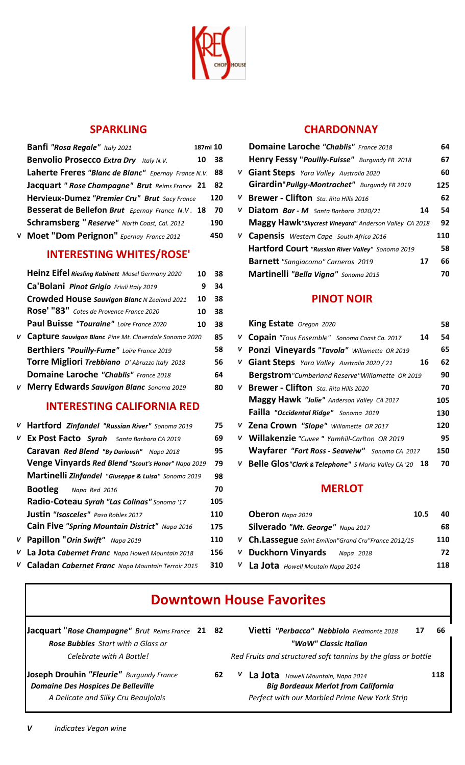

# **SPARKLING**

| Banfi "Rosa Regale" Italy 2021                      | 187ml 10 |
|-----------------------------------------------------|----------|
| <b>Benvolio Prosecco Extra Dry</b> Italy N.V.       | 38<br>10 |
| Laherte Freres "Blanc de Blanc" Epernay France N.V. | 88       |
| Jacquart " Rose Champagne" Brut Reims France 21     | 82       |
| Hervieux-Dumez "Premier Cru" Brut Sacy France       | 120      |
| Besserat de Bellefon Brut Epernay France N.V. 18    | 70       |
| Schramsberg "Reserve" North Coast, Cal. 2012        | 190      |
| Moet "Dom Perignon" Epernay France 2012             | 450      |

# **INTERESTING WHITES/ROSE'**

| Heinz Eifel Riesling Kabinett Mosel Germany 2020         | 10 | 38 |
|----------------------------------------------------------|----|----|
| Ca'Bolani Pinot Grigio Friuli Italy 2019                 | 9  | 34 |
| Crowded House Sauvigon Blanc N Zealand 2021              | 10 | 38 |
| Rose' "83" Cotes de Provence France 2020                 | 10 | 38 |
| Paul Buisse "Touraine" Loire France 2020                 | 10 | 38 |
| V Capture sauvigon Blanc Pine Mt. Cloverdale Sonoma 2020 |    | 85 |
| Berthiers "Pouilly-Fume" Loire France 2019               |    | 58 |
| Torre Migliori Trebbiano D' Abruzzo Italy 2018           |    | 56 |
| <b>Domaine Laroche "Chablis"</b> France 2018             |    | 64 |
| V Merry Edwards Sauvigon Blanc Sonoma 2019               |    | 80 |

### **INTERESTING CALIFORNIA RED**

| V Hartford Zinfandel "Russian River" Sonoma 2019    | 75  |
|-----------------------------------------------------|-----|
| V Ex Post Facto Syrah Santa Barbara CA 2019         | 69  |
| Caravan Red Blend "By Darioush" Napa 2018           | 95  |
| Venge Vinyards Red Blend "Scout's Honor" Napa 2019  | 79  |
| Martinelli Zinfandel "Giuseppe & Luisa" Sonoma 2019 | 98  |
| <b>Bootleg</b> Napa Red 2016                        | 70  |
| Radio-Coteau Syrah "Las Colinas" Sonoma '17         | 105 |
| <b>Justin "Isosceles"</b> Paso Robles 2017          | 110 |
| Cain Five "Spring Mountain District" Napa 2016      | 175 |
| V Papillon "Orin Swift" Napa 2019                   | 110 |
| La Jota Cabernet Franc Napa Howell Mountain 2018    | 156 |
| V Caladan Cabernet Franc Napa Mountain Terroir 2015 | 310 |

## **CHARDONNAY**

| <b>Banfi "Rosa Regale"</b> Italy 2021                  | 187ml 10 |    | <b>Domaine Laroche "Chablis"</b> France 2018          | 64  |
|--------------------------------------------------------|----------|----|-------------------------------------------------------|-----|
| <b>Benvolio Prosecco Extra Dry</b> Italy N.V.          | 10 38    |    | Henry Fessy "Pouilly-Fuisse" Burgundy FR 2018         | 67  |
| Laherte Freres "Blanc de Blanc" Epernay France N.V. 88 |          | V  | <b>Giant Steps</b> Yara Valley Australia 2020         | 60  |
| Jacquart " Rose Champagne" Brut Reims France 21        | - 82     |    | Girardin" Puilgy-Montrachet" Burgundy FR 2019         | 125 |
| Hervieux-Dumez "Premier Cru" Brut Sacy France          | 120      | v. | <b>Brewer - Clifton</b> Sta. Rita Hills 2016          | 62  |
| Besserat de Bellefon Brut Epernay France N.V. 18       | -70      | v  | <b>Diatom Bar-M</b> Santa Barbara 2020/21<br>14       | 54  |
| Schramsberg "Reserve" North Coast, Cal. 2012           | 190      |    | Maggy Hawk"Skycrest Vineyard" Anderson Valley CA 2018 | 92  |
| V Moet "Dom Perignon" Epernay France 2012              | 450      |    | V Capensis Western Cape South Africa 2016             | 110 |
| <b>INTERESTING WHITES/ROSE'</b>                        |          |    | Hartford Court "Russian River Valley" Sonoma 2019     | 58  |
|                                                        |          |    | <b>Barnett</b> "Sangiacomo" Carneros 2019<br>17       | 66  |
| Heinz Eifel Riesling Kabinett Mosel Germany 2020<br>10 | 38       |    | Martinelli "Bella Vigna" Sonoma 2015                  | 70  |
|                                                        |          |    |                                                       |     |

### **PINOT NOIR**

| Paul Buisse "Touraine" Loire France 2020                 | 10 38 |    | King Estate Oregon 2020                                           | 58  |
|----------------------------------------------------------|-------|----|-------------------------------------------------------------------|-----|
| V Capture sauvigon Blanc Pine Mt. Cloverdale Sonoma 2020 | 85    |    | V Copain "Tous Ensemble" Sonoma Coast Ca. 2017<br>14              | 54  |
| Berthiers "Pouilly-Fume" Loire France 2019               | 58    |    | V Ponzi Vineyards "Tavola" Willamette OR 2019                     | 65  |
| Torre Migliori Trebbiano D' Abruzzo Italy 2018           | 56    | v  | Giant Steps Yara Valley Australia 2020 / 21<br>16                 | 62  |
| <b>Domaine Laroche "Chablis"</b> France 2018             | 64    |    | <b>Bergstrom</b> "Cumberland Reserve"Willamette OR 2019           | 90  |
| V Merry Edwards Sauvigon Blanc Sonoma 2019               | 80    | v. | <b>Brewer - Clifton</b> Sta. Rita Hills 2020                      | 70  |
| <b>INTERESTING CALIFORNIA RED</b>                        |       |    | Maggy Hawk "Jolie" Anderson Valley CA 2017                        | 105 |
|                                                          |       |    | Failla "Occidental Ridge" Sonoma 2019                             | 130 |
| V Hartford Zinfandel "Russian River" Sonoma 2019         | 75    |    | V Zena Crown "Slope" Willamette OR 2017                           | 120 |
| V Ex Post Facto Syrah Santa Barbara CA 2019              | 69    | V. | Willakenzie "Cuvee" Yamhill-Carlton OR 2019                       | 95  |
| Caravan Red Blend "By Darioush" Napa 2018                | 95    |    | Wayfarer "Fort Ross - Seaveiw" Sonoma CA 2017                     | 150 |
| Venge Vinyards Red Blend "Scout's Honor" Napa 2019       | 79    | V  | <b>Belle Glos"Clark &amp; Telephone"</b> S Maria Valley CA '20 18 | 70  |

## **MERLOT**

| <b>Justin "Isosceles"</b> Paso Robles 2017          | 110        | <b>Oberon</b> Napa 2019<br>10.5                      | 40  |
|-----------------------------------------------------|------------|------------------------------------------------------|-----|
| Cain Five "Spring Mountain District" Napa 2016      | 175        | Silverado "Mt. George" Napa 2017                     | 68  |
| V Papillon "Orin Swift" Napa 2019                   | <b>110</b> | V Ch.Lassegue Saint Emilion"Grand Cru"France 2012/15 | 110 |
| V La Jota Cabernet Franc Napa Howell Mountain 2018  | 156        | V Duckhorn Vinyards<br>Napa 2018                     | 72  |
| V Caladan Cabernet Franc Napa Mountain Terroir 2015 | 310        | $V$ <b>La Jota</b> Howell Moutain Napa 2014          | 118 |

# **Downtown House Favorites**

| <b>Jacquart "Rose Champagne"</b> Brut Reims France 21 82                              |    | Vietti "Perbacco" Nebbiolo Piedmonte 2018<br>66                                         |
|---------------------------------------------------------------------------------------|----|-----------------------------------------------------------------------------------------|
| Rose Bubbles Start with a Glass or                                                    |    | "WoW" Classic Italian                                                                   |
| Celebrate with A Bottle!                                                              |    | Red Fruits and structured soft tannins by the glass or bottle                           |
| Joseph Drouhin "Fleurie" Burgundy France<br><b>Domaine Des Hospices De Belleville</b> | 62 | 118<br>La Jota Howell Mountain, Napa 2014<br><b>Big Bordeaux Merlot from California</b> |
| A Delicate and Silky Cru Beaujoiais                                                   |    | Perfect with our Marbled Prime New York Strip                                           |